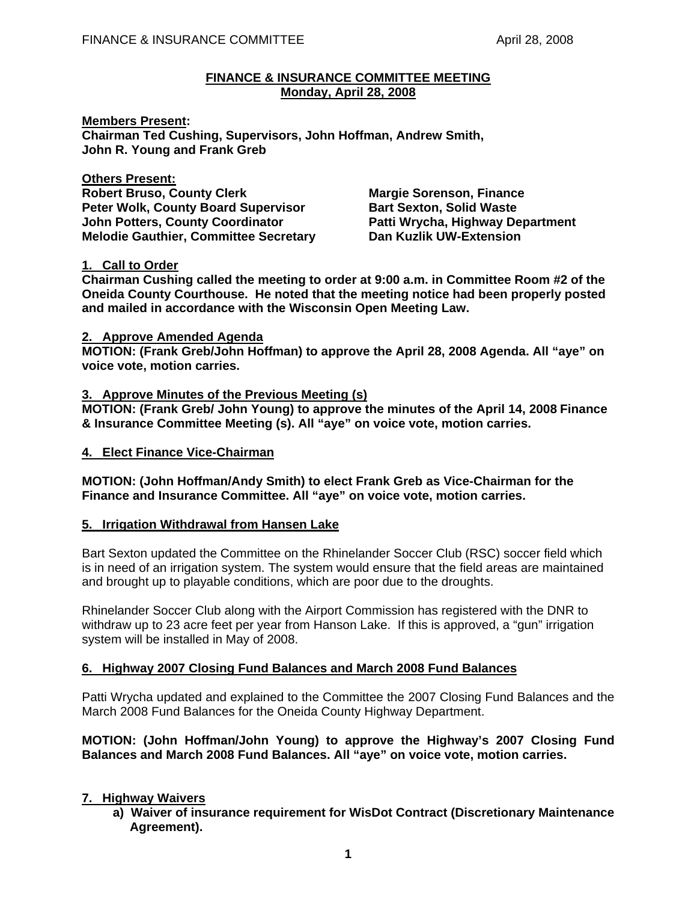#### **FINANCE & INSURANCE COMMITTEE MEETING Monday, April 28, 2008**

**Members Present: Chairman Ted Cushing, Supervisors, John Hoffman, Andrew Smith, John R. Young and Frank Greb** 

**Others Present: Robert Bruso, County Clerk Margie Sorenson, Finance Communist Clergy Communist Communist Property** Peter Wolk, County Board Supervisor **Bart Sexton, Solid Waste John Potters, County Coordinator Patti Wrycha, Highway Department Melodie Gauthier, Committee Secretary Dan Kuzlik UW-Extension** 

# **1. Call to Order**

**Chairman Cushing called the meeting to order at 9:00 a.m. in Committee Room #2 of the Oneida County Courthouse. He noted that the meeting notice had been properly posted and mailed in accordance with the Wisconsin Open Meeting Law.** 

#### **2. Approve Amended Agenda**

**MOTION: (Frank Greb/John Hoffman) to approve the April 28, 2008 Agenda. All "aye" on voice vote, motion carries.** 

# **3. Approve Minutes of the Previous Meeting (s)**

**MOTION: (Frank Greb/ John Young) to approve the minutes of the April 14, 2008 Finance & Insurance Committee Meeting (s). All "aye" on voice vote, motion carries.** 

# **4. Elect Finance Vice-Chairman**

**MOTION: (John Hoffman/Andy Smith) to elect Frank Greb as Vice-Chairman for the Finance and Insurance Committee. All "aye" on voice vote, motion carries.** 

# **5. Irrigation Withdrawal from Hansen Lake**

 Bart Sexton updated the Committee on the Rhinelander Soccer Club (RSC) soccer field which is in need of an irrigation system. The system would ensure that the field areas are maintained and brought up to playable conditions, which are poor due to the droughts.

 Rhinelander Soccer Club along with the Airport Commission has registered with the DNR to withdraw up to 23 acre feet per year from Hanson Lake. If this is approved, a "gun" irrigation system will be installed in May of 2008.

# **6. Highway 2007 Closing Fund Balances and March 2008 Fund Balances**

Patti Wrycha updated and explained to the Committee the 2007 Closing Fund Balances and the March 2008 Fund Balances for the Oneida County Highway Department.

# **MOTION: (John Hoffman/John Young) to approve the Highway's 2007 Closing Fund Balances and March 2008 Fund Balances. All "aye" on voice vote, motion carries.**

# **7. Highway Waivers**

 **a) Waiver of insurance requirement for WisDot Contract (Discretionary Maintenance Agreement).**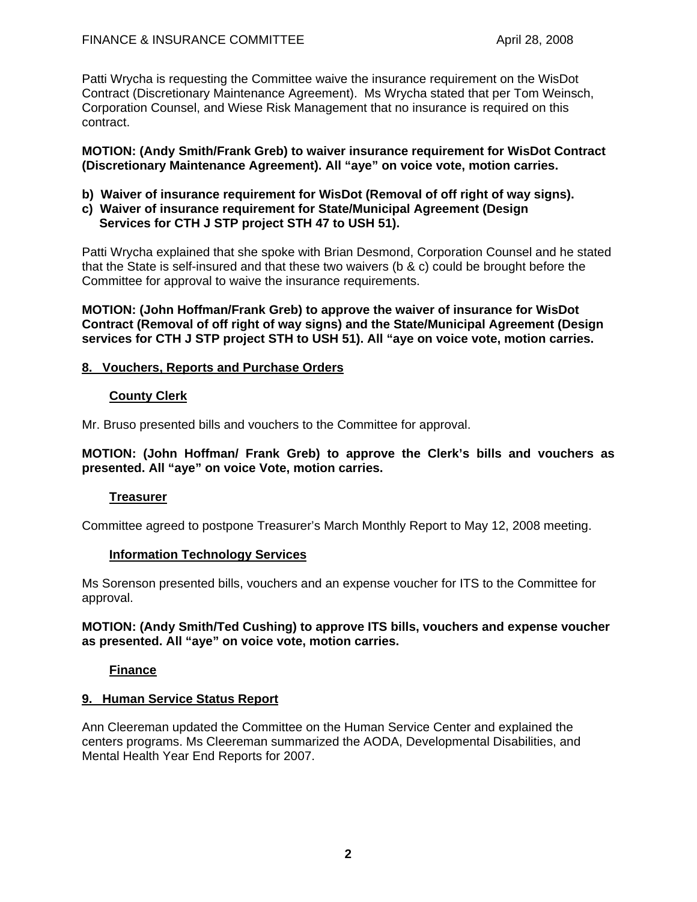Patti Wrycha is requesting the Committee waive the insurance requirement on the WisDot Contract (Discretionary Maintenance Agreement). Ms Wrycha stated that per Tom Weinsch, Corporation Counsel, and Wiese Risk Management that no insurance is required on this contract.

#### **MOTION: (Andy Smith/Frank Greb) to waiver insurance requirement for WisDot Contract (Discretionary Maintenance Agreement). All "aye" on voice vote, motion carries.**

- **b) Waiver of insurance requirement for WisDot (Removal of off right of way signs).**
- **c) Waiver of insurance requirement for State/Municipal Agreement (Design Services for CTH J STP project STH 47 to USH 51).**

Patti Wrycha explained that she spoke with Brian Desmond, Corporation Counsel and he stated that the State is self-insured and that these two waivers ( $\frac{b}{x}$  c) could be brought before the Committee for approval to waive the insurance requirements.

**MOTION: (John Hoffman/Frank Greb) to approve the waiver of insurance for WisDot Contract (Removal of off right of way signs) and the State/Municipal Agreement (Design services for CTH J STP project STH to USH 51). All "aye on voice vote, motion carries.** 

# **8. Vouchers, Reports and Purchase Orders**

#### **County Clerk**

Mr. Bruso presented bills and vouchers to the Committee for approval.

**MOTION: (John Hoffman/ Frank Greb) to approve the Clerk's bills and vouchers as presented. All "aye" on voice Vote, motion carries.** 

# **Treasurer**

Committee agreed to postpone Treasurer's March Monthly Report to May 12, 2008 meeting.

# **Information Technology Services**

Ms Sorenson presented bills, vouchers and an expense voucher for ITS to the Committee for approval.

#### **MOTION: (Andy Smith/Ted Cushing) to approve ITS bills, vouchers and expense voucher as presented. All "aye" on voice vote, motion carries.**

# **Finance**

# **9. Human Service Status Report**

Ann Cleereman updated the Committee on the Human Service Center and explained the centers programs. Ms Cleereman summarized the AODA, Developmental Disabilities, and Mental Health Year End Reports for 2007.